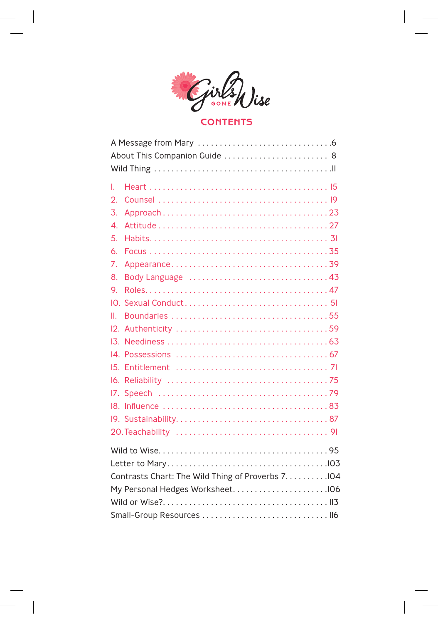

# **CONTENTS**

| About This Companion Guide  8                      |  |  |  |
|----------------------------------------------------|--|--|--|
|                                                    |  |  |  |
| L                                                  |  |  |  |
| 2.                                                 |  |  |  |
| 3.                                                 |  |  |  |
| 4.                                                 |  |  |  |
| 5.                                                 |  |  |  |
| 6.                                                 |  |  |  |
| 7.                                                 |  |  |  |
| 8.                                                 |  |  |  |
| 9.                                                 |  |  |  |
| IO.                                                |  |  |  |
| Ш.                                                 |  |  |  |
|                                                    |  |  |  |
|                                                    |  |  |  |
|                                                    |  |  |  |
|                                                    |  |  |  |
|                                                    |  |  |  |
|                                                    |  |  |  |
|                                                    |  |  |  |
|                                                    |  |  |  |
|                                                    |  |  |  |
|                                                    |  |  |  |
|                                                    |  |  |  |
| Contrasts Chart: The Wild Thing of Proverbs 7. 104 |  |  |  |
|                                                    |  |  |  |
|                                                    |  |  |  |
|                                                    |  |  |  |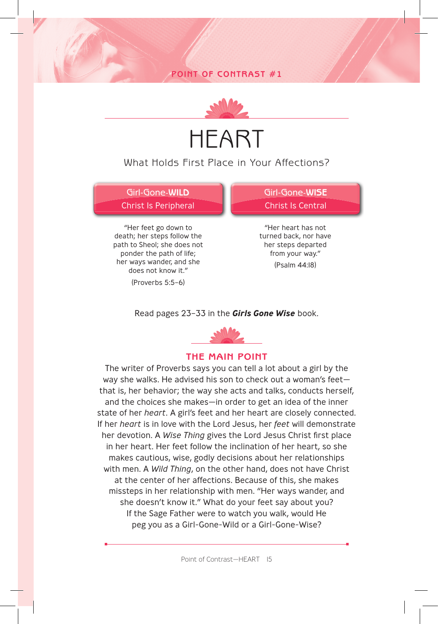# **POINT OF CONTRAST #1**



# HEART

# What Holds First Place in Your Affections?

Girl-Gone-**WILD** Christ Is Peripheral

"Her feet go down to death; her steps follow the path to Sheol; she does not ponder the path of life; her ways wander, and she does not know it."

(Proverbs 5:5–6)

Girl-Gone-**WISE** Christ Is Central

"Her heart has not turned back, nor have her steps departed from your way."

(Psalm 44:18)

#### Read pages 23–33 in the *Girls Gone Wise* book.



### **THE MAIN POINT**

The writer of Proverbs says you can tell a lot about a girl by the way she walks. He advised his son to check out a woman's feet that is, her behavior; the way she acts and talks, conducts herself, and the choices she makes—in order to get an idea of the inner state of her *heart*. A girl's feet and her heart are closely connected. If her *heart* is in love with the Lord Jesus, her *feet* will demonstrate her devotion. A Wise Thing gives the Lord Jesus Christ first place in her heart. Her feet follow the inclination of her heart, so she makes cautious, wise, godly decisions about her relationships with men. A *Wild Thing*, on the other hand, does not have Christ at the center of her affections. Because of this, she makes missteps in her relationship with men. "Her ways wander, and she doesn't know it." What do your feet say about you? If the Sage Father were to watch you walk, would He peg you as a Girl-Gone-Wild or a Girl-Gone-Wise?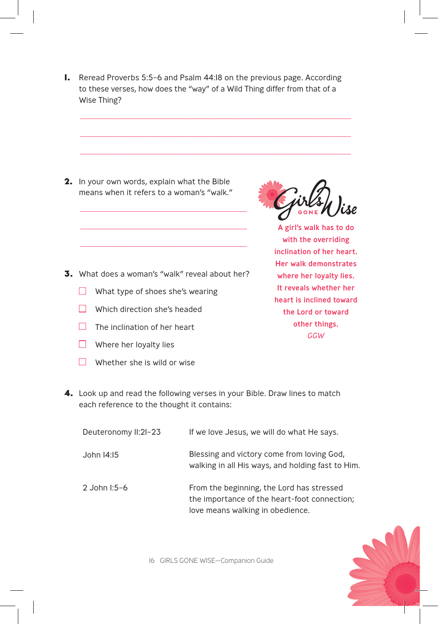**1.** Reread Proverbs 5:5–6 and Psalm 44:18 on the previous page. According to these verses, how does the "way" of a Wild Thing differ from that of a Wise Thing?

\_\_\_\_\_\_\_\_\_\_\_\_\_\_\_\_\_\_\_\_\_\_\_\_\_\_\_\_\_\_\_\_\_\_\_\_\_\_\_\_\_\_\_\_\_\_\_\_\_\_\_\_\_\_\_\_\_\_\_\_\_\_\_\_\_\_\_\_\_\_\_\_\_\_\_\_\_\_\_\_\_\_\_\_\_\_

\_\_\_\_\_\_\_\_\_\_\_\_\_\_\_\_\_\_\_\_\_\_\_\_\_\_\_\_\_\_\_\_\_\_\_\_\_\_\_\_\_\_\_\_\_\_\_\_\_\_\_\_\_\_\_\_\_\_\_\_\_\_\_\_\_\_\_\_\_\_\_\_\_\_\_\_\_\_\_\_\_\_\_\_\_\_

 $\_$  ,  $\_$  ,  $\_$  ,  $\_$  ,  $\_$  ,  $\_$  ,  $\_$  ,  $\_$  ,  $\_$  ,  $\_$  ,  $\_$  ,  $\_$  ,  $\_$  ,  $\_$  ,  $\_$  ,  $\_$  ,  $\_$  ,  $\_$  ,  $\_$  ,  $\_$ 

**2.** In your own words, explain what the Bible means when it refers to a woman's "walk."

\_\_\_\_\_\_\_\_\_\_\_\_\_\_\_\_\_\_\_\_\_\_\_\_\_\_\_\_\_\_\_\_\_\_\_\_\_\_\_\_\_\_\_\_\_\_\_\_\_\_\_\_\_

\_\_\_\_\_\_\_\_\_\_\_\_\_\_\_\_\_\_\_\_\_\_\_\_\_\_\_\_\_\_\_\_\_\_\_\_\_\_\_\_\_\_\_\_\_\_\_\_\_\_\_\_\_

\_\_\_\_\_\_\_\_\_\_\_\_\_\_\_\_\_\_\_\_\_\_\_\_\_\_\_\_\_\_\_\_\_\_\_\_\_\_\_\_\_\_\_\_\_\_\_\_\_\_\_\_\_

GONE

A girl's walk has to do with the overriding inclination of her heart. Her walk demonstrates where her loyalty lies. It reveals whether her heart is inclined toward the Lord or toward other things. *GGW*

- **3.** What does a woman's "walk" reveal about her?
	- $\Box$  What type of shoes she's wearing
	- $\Box$  Which direction she's headed
	- $\Box$  The inclination of her heart
	- $\Box$  Where her loyalty lies
	- $\Box$  Whether she is wild or wise
- **4.** Look up and read the following verses in your Bible. Draw lines to match each reference to the thought it contains:

| Deuteronomy II:2I-23 | If we love Jesus, we will do what He says.                                                                                    |
|----------------------|-------------------------------------------------------------------------------------------------------------------------------|
| John 14:15           | Blessing and victory come from loving God,<br>walking in all His ways, and holding fast to Him.                               |
| 2 John I:5-6         | From the beginning, the Lord has stressed<br>the importance of the heart-foot connection;<br>love means walking in obedience. |

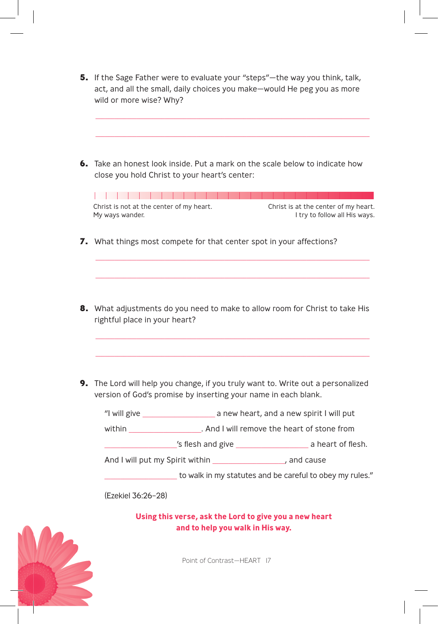**5.** If the Sage Father were to evaluate your "steps"—the way you think, talk, act, and all the small, daily choices you make—would He peg you as more wild or more wise? Why?

\_\_\_\_\_\_\_\_\_\_\_\_\_\_\_\_\_\_\_\_\_\_\_\_\_\_\_\_\_\_\_\_\_\_\_\_\_\_\_\_\_\_\_\_\_\_\_\_\_\_\_\_\_\_\_\_\_\_\_\_\_\_\_\_\_\_\_\_\_\_\_\_\_\_\_\_\_\_\_\_\_\_\_\_\_\_\_

\_\_\_\_\_\_\_\_\_\_\_\_\_\_\_\_\_\_\_\_\_\_\_\_\_\_\_\_\_\_\_\_\_\_\_\_\_\_\_\_\_\_\_\_\_\_\_\_\_\_\_\_\_\_\_\_\_\_\_\_\_\_\_\_\_\_\_\_\_\_\_\_\_\_\_\_\_\_\_\_\_\_\_\_\_\_\_

**6.** Take an honest look inside. Put a mark on the scale below to indicate how close you hold Christ to your heart's center:

Christ is not at the center of my heart. Christ is at the center of my heart. My ways wander. I try to follow all His ways.

\_\_\_\_\_\_\_\_\_\_\_\_\_\_\_\_\_\_\_\_\_\_\_\_\_\_\_\_\_\_\_\_\_\_\_\_\_\_\_\_\_\_\_\_\_\_\_\_\_\_\_\_\_\_\_\_\_\_\_\_\_\_\_\_\_\_\_\_\_\_\_\_\_\_\_\_\_\_\_\_\_\_\_\_\_\_\_

\_\_\_\_\_\_\_\_\_\_\_\_\_\_\_\_\_\_\_\_\_\_\_\_\_\_\_\_\_\_\_\_\_\_\_\_\_\_\_\_\_\_\_\_\_\_\_\_\_\_\_\_\_\_\_\_\_\_\_\_\_\_\_\_\_\_\_\_\_\_\_\_\_\_\_\_\_\_\_\_\_\_\_\_\_\_\_

**7.** What things most compete for that center spot in your affections?

**8.** What adjustments do you need to make to allow room for Christ to take His rightful place in your heart?

\_\_\_\_\_\_\_\_\_\_\_\_\_\_\_\_\_\_\_\_\_\_\_\_\_\_\_\_\_\_\_\_\_\_\_\_\_\_\_\_\_\_\_\_\_\_\_\_\_\_\_\_\_\_\_\_\_\_\_\_\_\_\_\_\_\_\_\_\_\_\_\_\_\_\_\_\_\_\_\_\_\_\_\_\_\_\_

\_\_\_\_\_\_\_\_\_\_\_\_\_\_\_\_\_\_\_\_\_\_\_\_\_\_\_\_\_\_\_\_\_\_\_\_\_\_\_\_\_\_\_\_\_\_\_\_\_\_\_\_\_\_\_\_\_\_\_\_\_\_\_\_\_\_\_\_\_\_\_\_\_\_\_\_\_\_\_\_\_\_\_\_\_\_\_

**9.** The Lord will help you change, if you truly want to. Write out a personalized version of God's promise by inserting your name in each blank.

 "I will give \_\_\_\_\_\_\_\_\_\_\_\_\_\_\_\_\_\_\_\_\_\_\_ a new heart, and a new spirit I will put within **wither all and I will remove the heart of stone from** 's flesh and give a heart of flesh. And I will put my Spirit within The metal of the cause of the Manuscript of the Manuscript of the Andrew Cause to walk in my statutes and be careful to obey my rules." (Ezekiel 36:26–28)